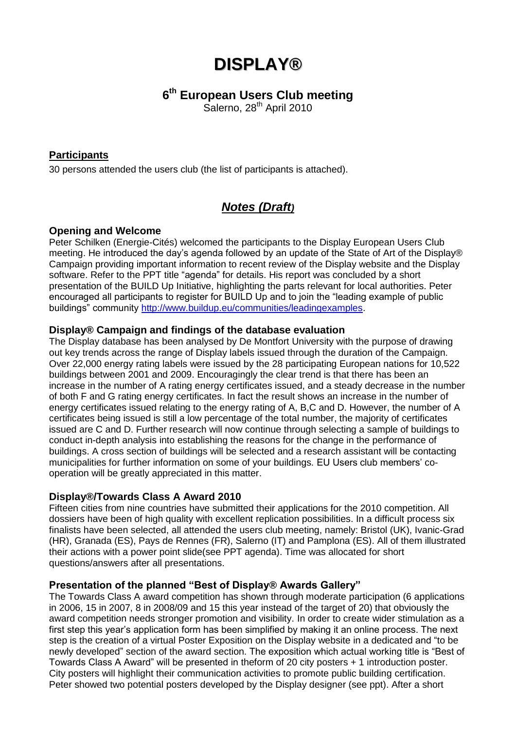# **DISPLAY®**

# **6 th European Users Club meeting**

Salerno, 28<sup>th</sup> April 2010

## **Participants**

30 persons attended the users club (the list of participants is attached).

# *Notes (Draft)*

## **Opening and Welcome**

Peter Schilken (Energie-Cités) welcomed the participants to the Display European Users Club meeting. He introduced the day's agenda followed by an update of the State of Art of the Display® Campaign providing important information to recent review of the Display website and the Display software. Refer to the PPT title "agenda" for details. His report was concluded by a short presentation of the BUILD Up Initiative, highlighting the parts relevant for local authorities. Peter encouraged all participants to register for BUILD Up and to join the "leading example of public buildings" community [http://www.buildup.eu/communities/leadingexamples.](http://www.buildup.eu/communities/leadingexamples)

## **Display® Campaign and findings of the database evaluation**

The Display database has been analysed by De Montfort University with the purpose of drawing out key trends across the range of Display labels issued through the duration of the Campaign. Over 22,000 energy rating labels were issued by the 28 participating European nations for 10,522 buildings between 2001 and 2009. Encouragingly the clear trend is that there has been an increase in the number of A rating energy certificates issued, and a steady decrease in the number of both F and G rating energy certificates. In fact the result shows an increase in the number of energy certificates issued relating to the energy rating of A, B,C and D. However, the number of A certificates being issued is still a low percentage of the total number, the majority of certificates issued are C and D. Further research will now continue through selecting a sample of buildings to conduct in-depth analysis into establishing the reasons for the change in the performance of buildings. A cross section of buildings will be selected and a research assistant will be contacting municipalities for further information on some of your buildings. EU Users club members' cooperation will be greatly appreciated in this matter.

## **Display®/Towards Class A Award 2010**

Fifteen cities from nine countries have submitted their applications for the 2010 competition. All dossiers have been of high quality with excellent replication possibilities. In a difficult process six finalists have been selected, all attended the users club meeting, namely: Bristol (UK), Ivanic-Grad (HR), Granada (ES), Pays de Rennes (FR), Salerno (IT) and Pamplona (ES). All of them illustrated their actions with a power point slide(see PPT agenda). Time was allocated for short questions/answers after all presentations.

#### **Presentation of the planned "Best of Display® Awards Gallery"**

The Towards Class A award competition has shown through moderate participation (6 applications in 2006, 15 in 2007, 8 in 2008/09 and 15 this year instead of the target of 20) that obviously the award competition needs stronger promotion and visibility. In order to create wider stimulation as a first step this year's application form has been simplified by making it an online process. The next step is the creation of a virtual Poster Exposition on the Display website in a dedicated and "to be newly developed" section of the award section. The exposition which actual working title is "Best of Towards Class A Award" will be presented in theform of 20 city posters + 1 introduction poster. City posters will highlight their communication activities to promote public building certification. Peter showed two potential posters developed by the Display designer (see ppt). After a short